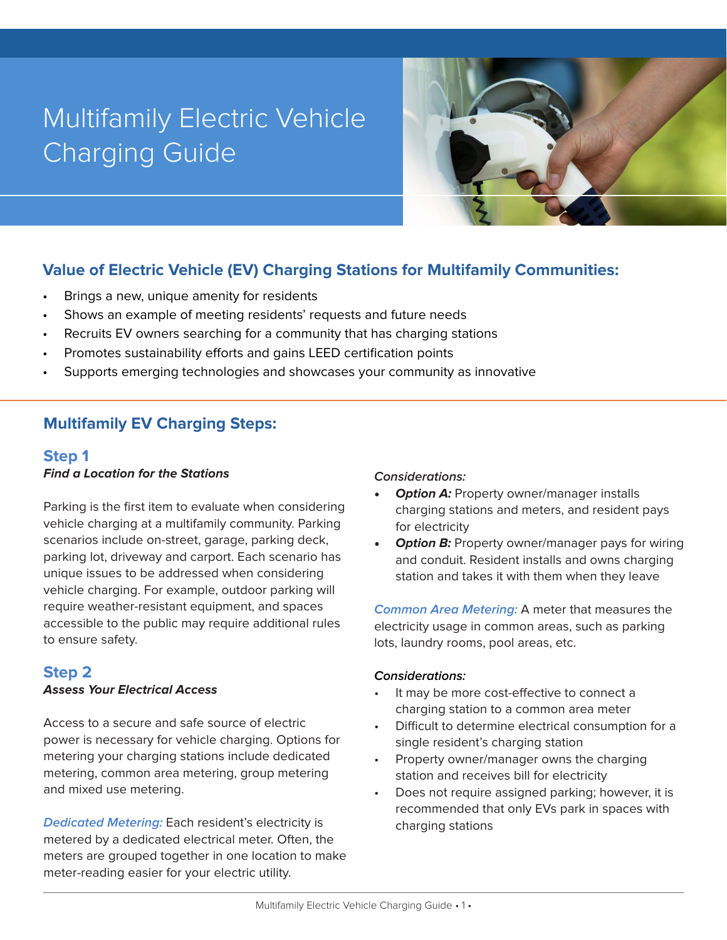# Multifamily Electric Vehicle Charging Guide



# **Value of Electric Vehicle (EV) Charging Stations for Multifamily Communities:**

- Brings a new, unique amenity for residents
- Shows an example of meeting residents' requests and future needs
- Recruits EV owners searching for a community that has charging stations
- Promotes sustainability efforts and gains LEED certification points
- Supports emerging technologies and showcases your community as innovative

# **Multifamily EV Charging Steps:**

## **Step 1**

#### **Find a Location for the Stations**

Parking is the first item to evaluate when considering vehicle charging at a multifamily community. Parking scenarios include on-street, garage, parking deck, parking lot, driveway and carport. Each scenario has unique issues to be addressed when considering vehicle charging. For example, outdoor parking will require weather-resistant equipment, and spaces accessible to the public may require additional rules to ensure safety.

## **Step 2**

#### **Assess Your Electrical Access**

Access to a secure and safe source of electric power is necessary for vehicle charging. Options for metering your charging stations include dedicated metering, common area metering, group metering and mixed use metering.

**Dedicated Metering:** Each resident's electricity is metered by a dedicated electrical meter. Often, the meters are grouped together in one location to make meter-reading easier for your electric utility.

#### **Considerations:**

- **Option A:** Property owner/manager installs charging stations and meters, and resident pays for electricity
- **Option B:** Property owner/manager pays for wiring and conduit. Resident installs and owns charging station and takes it with them when they leave

**Common Area Metering:** A meter that measures the electricity usage in common areas, such as parking lots, laundry rooms, pool areas, etc.

#### **Considerations:**

- It may be more cost-effective to connect a charging station to a common area meter
- Difficult to determine electrical consumption for a single resident's charging station
- Property owner/manager owns the charging station and receives bill for electricity
- Does not require assigned parking; however, it is recommended that only EVs park in spaces with charging stations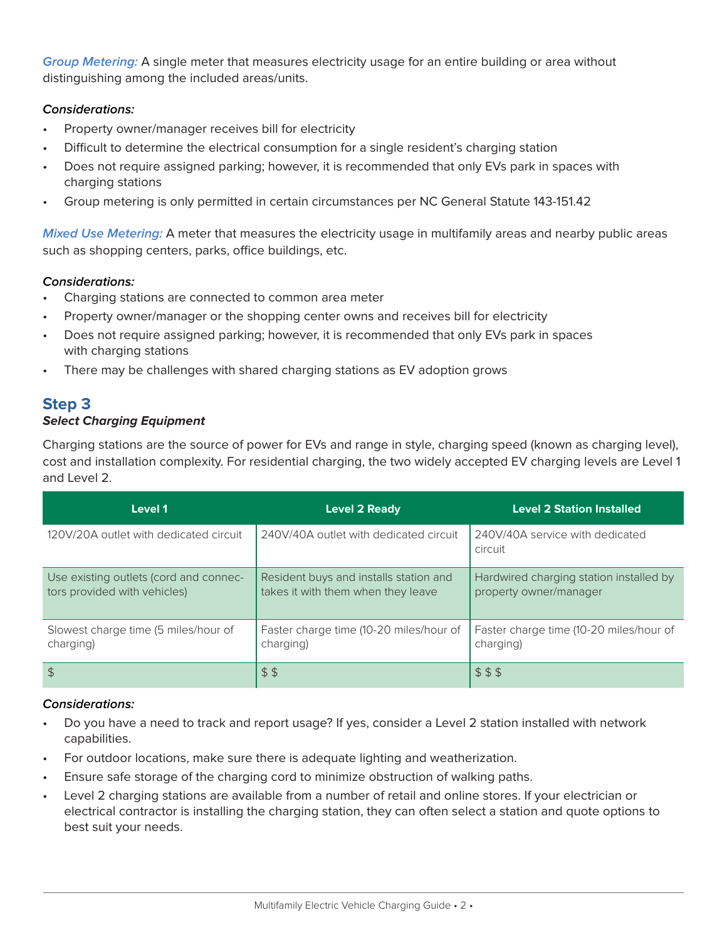**Group Metering:** A single meter that measures electricity usage for an entire building or area without distinguishing among the included areas/units.

#### **Considerations:**

- Property owner/manager receives bill for electricity
- Difficult to determine the electrical consumption for a single resident's charging station
- Does not require assigned parking; however, it is recommended that only EVs park in spaces with charging stations
- Group metering is only permitted in certain circumstances per NC General Statute 143-151.42

**Mixed Use Metering:** A meter that measures the electricity usage in multifamily areas and nearby public areas such as shopping centers, parks, office buildings, etc.

#### **Considerations:**

- Charging stations are connected to common area meter
- Property owner/manager or the shopping center owns and receives bill for electricity
- Does not require assigned parking; however, it is recommended that only EVs park in spaces with charging stations
- There may be challenges with shared charging stations as EV adoption grows

## **Step 3**

#### **Select Charging Equipment**

Charging stations are the source of power for EVs and range in style, charging speed (known as charging level), cost and installation complexity. For residential charging, the two widely accepted EV charging levels are Level 1 and Level 2.

| Level 1                                                                | <b>Level 2 Ready</b>                                                         | <b>Level 2 Station Installed</b>                                  |
|------------------------------------------------------------------------|------------------------------------------------------------------------------|-------------------------------------------------------------------|
| 120V/20A outlet with dedicated circuit                                 | 240V/40A outlet with dedicated circuit                                       | 240V/40A service with dedicated<br>circuit                        |
| Use existing outlets (cord and connec-<br>tors provided with vehicles) | Resident buys and installs station and<br>takes it with them when they leave | Hardwired charging station installed by<br>property owner/manager |
| Slowest charge time (5 miles/hour of<br>charging)                      | Faster charge time (10-20 miles/hour of<br>charging)                         | Faster charge time (10-20 miles/hour of<br>charging)              |
| $\frac{1}{2}$                                                          | \$5                                                                          | \$55                                                              |

#### **Considerations:**

- Do you have a need to track and report usage? If yes, consider a Level 2 station installed with network capabilities.
- For outdoor locations, make sure there is adequate lighting and weatherization.
- Ensure safe storage of the charging cord to minimize obstruction of walking paths.
- Level 2 charging stations are available from a number of retail and online stores. If your electrician or electrical contractor is installing the charging station, they can often select a station and quote options to best suit your needs.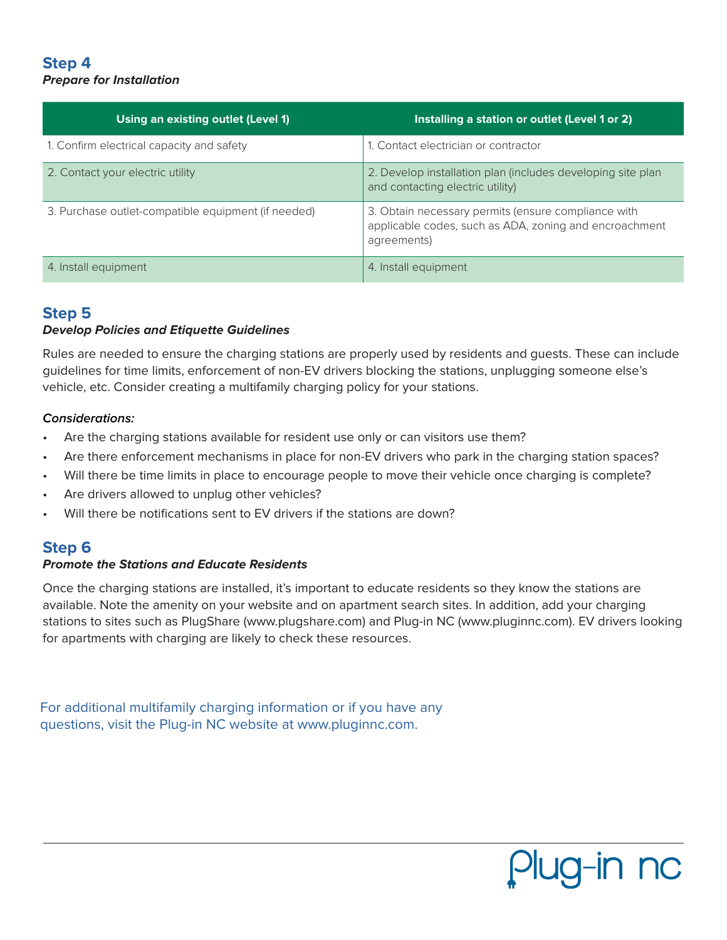## **Step 4 Prepare for Installation**

| Using an existing outlet (Level 1)                  | Installing a station or outlet (Level 1 or 2)                                                                                |
|-----------------------------------------------------|------------------------------------------------------------------------------------------------------------------------------|
| 1. Confirm electrical capacity and safety           | 1. Contact electrician or contractor                                                                                         |
| 2. Contact your electric utility                    | 2. Develop installation plan (includes developing site plan<br>and contacting electric utility)                              |
| 3. Purchase outlet-compatible equipment (if needed) | 3. Obtain necessary permits (ensure compliance with<br>applicable codes, such as ADA, zoning and encroachment<br>agreements) |
| 4. Install equipment                                | 4. Install equipment                                                                                                         |

## **Step 5**

#### **Develop Policies and Etiquette Guidelines**

Rules are needed to ensure the charging stations are properly used by residents and guests. These can include guidelines for time limits, enforcement of non-EV drivers blocking the stations, unplugging someone else's vehicle, etc. Consider creating a multifamily charging policy for your stations.

#### **Considerations:**

- Are the charging stations available for resident use only or can visitors use them?
- Are there enforcement mechanisms in place for non-EV drivers who park in the charging station spaces?
- Will there be time limits in place to encourage people to move their vehicle once charging is complete?
- Are drivers allowed to unplug other vehicles?
- Will there be notifications sent to EV drivers if the stations are down?

## **Step 6**

#### **Promote the Stations and Educate Residents**

Once the charging stations are installed, it's important to educate residents so they know the stations are available. Note the amenity on your website and on apartment search sites. In addition, add your charging stations to sites such as PlugShare (www.plugshare.com) and Plug-in NC (www.pluginnc.com). EV drivers looking for apartments with charging are likely to check these resources.

For additional multifamily charging information or if you have any questions, visit the Plug-in NC website at www.pluginnc.com.